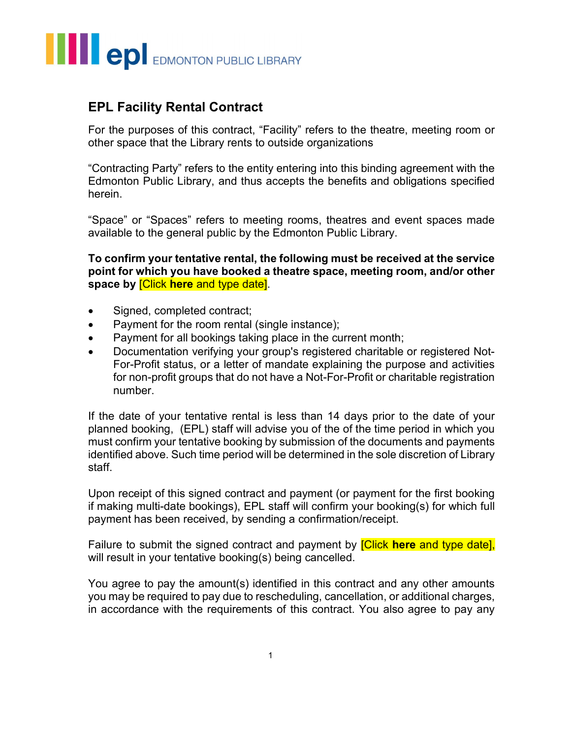## **THE EDMONTON PUBLIC LIBRARY**

### EPL Facility Rental Contract

For the purposes of this contract, "Facility" refers to the theatre, meeting room or other space that the Library rents to outside organizations

"Contracting Party" refers to the entity entering into this binding agreement with the Edmonton Public Library, and thus accepts the benefits and obligations specified herein.

"Space" or "Spaces" refers to meeting rooms, theatres and event spaces made available to the general public by the Edmonton Public Library.

To confirm your tentative rental, the following must be received at the service point for which you have booked a theatre space, meeting room, and/or other space by Click here and type date.

- Signed, completed contract;
- Payment for the room rental (single instance);
- Payment for all bookings taking place in the current month;
- Documentation verifying your group's registered charitable or registered Not-For-Profit status, or a letter of mandate explaining the purpose and activities for non-profit groups that do not have a Not-For-Profit or charitable registration number.

If the date of your tentative rental is less than 14 days prior to the date of your planned booking, (EPL) staff will advise you of the of the time period in which you must confirm your tentative booking by submission of the documents and payments identified above. Such time period will be determined in the sole discretion of Library staff.

Upon receipt of this signed contract and payment (or payment for the first booking if making multi-date bookings), EPL staff will confirm your booking(s) for which full payment has been received, by sending a confirmation/receipt.

Failure to submit the signed contract and payment by **[Click here and type date]**, will result in your tentative booking(s) being cancelled.

You agree to pay the amount(s) identified in this contract and any other amounts you may be required to pay due to rescheduling, cancellation, or additional charges, in accordance with the requirements of this contract. You also agree to pay any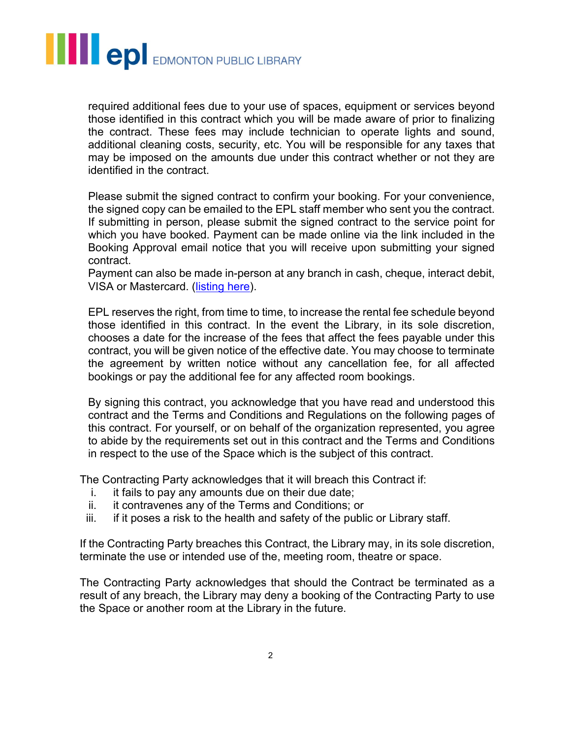# **THE COL** EDMONTON PUBLIC LIBRARY

required additional fees due to your use of spaces, equipment or services beyond those identified in this contract which you will be made aware of prior to finalizing the contract. These fees may include technician to operate lights and sound, additional cleaning costs, security, etc. You will be responsible for any taxes that may be imposed on the amounts due under this contract whether or not they are identified in the contract.

Please submit the signed contract to confirm your booking. For your convenience, the signed copy can be emailed to the EPL staff member who sent you the contract. If submitting in person, please submit the signed contract to the service point for which you have booked. Payment can be made online via the link included in the Booking Approval email notice that you will receive upon submitting your signed contract.

Payment can also be made in-person at any branch in cash, cheque, interact debit, VISA or Mastercard. (listing here).

EPL reserves the right, from time to time, to increase the rental fee schedule beyond those identified in this contract. In the event the Library, in its sole discretion, chooses a date for the increase of the fees that affect the fees payable under this contract, you will be given notice of the effective date. You may choose to terminate the agreement by written notice without any cancellation fee, for all affected bookings or pay the additional fee for any affected room bookings.

By signing this contract, you acknowledge that you have read and understood this contract and the Terms and Conditions and Regulations on the following pages of this contract. For yourself, or on behalf of the organization represented, you agree to abide by the requirements set out in this contract and the Terms and Conditions in respect to the use of the Space which is the subject of this contract.

The Contracting Party acknowledges that it will breach this Contract if:

- i. it fails to pay any amounts due on their due date;
- ii. it contravenes any of the Terms and Conditions; or
- iii. if it poses a risk to the health and safety of the public or Library staff.

If the Contracting Party breaches this Contract, the Library may, in its sole discretion, terminate the use or intended use of the, meeting room, theatre or space.

The Contracting Party acknowledges that should the Contract be terminated as a result of any breach, the Library may deny a booking of the Contracting Party to use the Space or another room at the Library in the future.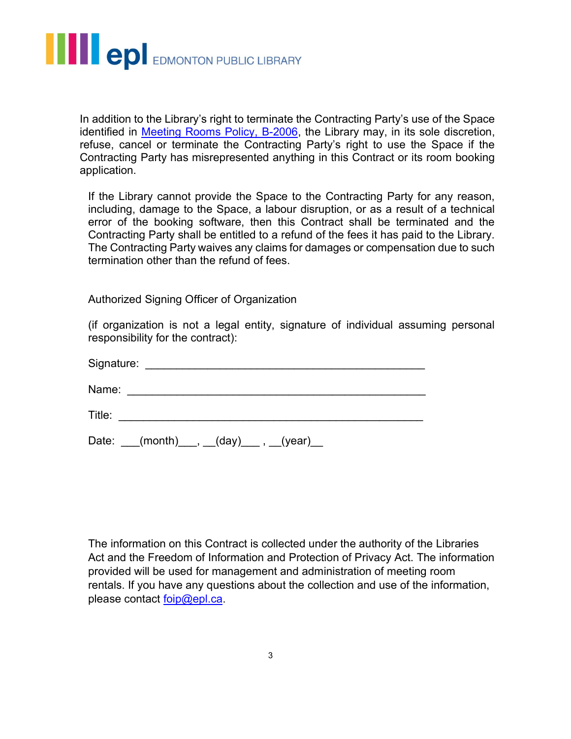

In addition to the Library's right to terminate the Contracting Party's use of the Space identified in Meeting Rooms Policy, B-2006, the Library may, in its sole discretion, refuse, cancel or terminate the Contracting Party's right to use the Space if the Contracting Party has misrepresented anything in this Contract or its room booking application.

If the Library cannot provide the Space to the Contracting Party for any reason, including, damage to the Space, a labour disruption, or as a result of a technical error of the booking software, then this Contract shall be terminated and the Contracting Party shall be entitled to a refund of the fees it has paid to the Library. The Contracting Party waives any claims for damages or compensation due to such termination other than the refund of fees.

Authorized Signing Officer of Organization

(if organization is not a legal entity, signature of individual assuming personal responsibility for the contract):

| Signature:<br><u> 1980 - John Stone, Amerikaansk politiker (* 1900)</u>                  |  |
|------------------------------------------------------------------------------------------|--|
| Name:<br>the contract of the contract of the contract of the contract of the contract of |  |
| Title:                                                                                   |  |
| Date: ___(month)___, __(day)___ , __(year)_                                              |  |

The information on this Contract is collected under the authority of the Libraries Act and the Freedom of Information and Protection of Privacy Act. The information provided will be used for management and administration of meeting room rentals. If you have any questions about the collection and use of the information, please contact foip@epl.ca.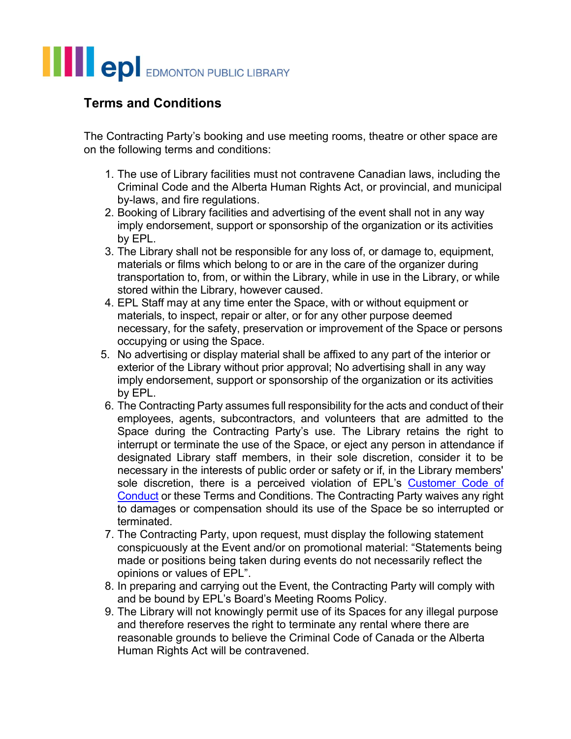### **THE COL** EDMONTON PUBLIC LIBRARY

### Terms and Conditions

The Contracting Party's booking and use meeting rooms, theatre or other space are on the following terms and conditions:

- 1. The use of Library facilities must not contravene Canadian laws, including the Criminal Code and the Alberta Human Rights Act, or provincial, and municipal by-laws, and fire regulations.
- 2. Booking of Library facilities and advertising of the event shall not in any way imply endorsement, support or sponsorship of the organization or its activities by EPL.
- 3. The Library shall not be responsible for any loss of, or damage to, equipment, materials or films which belong to or are in the care of the organizer during transportation to, from, or within the Library, while in use in the Library, or while stored within the Library, however caused.
- 4. EPL Staff may at any time enter the Space, with or without equipment or materials, to inspect, repair or alter, or for any other purpose deemed necessary, for the safety, preservation or improvement of the Space or persons occupying or using the Space.
- 5. No advertising or display material shall be affixed to any part of the interior or exterior of the Library without prior approval; No advertising shall in any way imply endorsement, support or sponsorship of the organization or its activities by EPL.
- 6. The Contracting Party assumes full responsibility for the acts and conduct of their employees, agents, subcontractors, and volunteers that are admitted to the Space during the Contracting Party's use. The Library retains the right to interrupt or terminate the use of the Space, or eject any person in attendance if designated Library staff members, in their sole discretion, consider it to be necessary in the interests of public order or safety or if, in the Library members' sole discretion, there is a perceived violation of EPL's Customer Code of Conduct or these Terms and Conditions. The Contracting Party waives any right to damages or compensation should its use of the Space be so interrupted or terminated.
- 7. The Contracting Party, upon request, must display the following statement conspicuously at the Event and/or on promotional material: "Statements being made or positions being taken during events do not necessarily reflect the opinions or values of EPL".
- 8. In preparing and carrying out the Event, the Contracting Party will comply with and be bound by EPL's Board's Meeting Rooms Policy.
- 9. The Library will not knowingly permit use of its Spaces for any illegal purpose and therefore reserves the right to terminate any rental where there are reasonable grounds to believe the Criminal Code of Canada or the Alberta Human Rights Act will be contravened.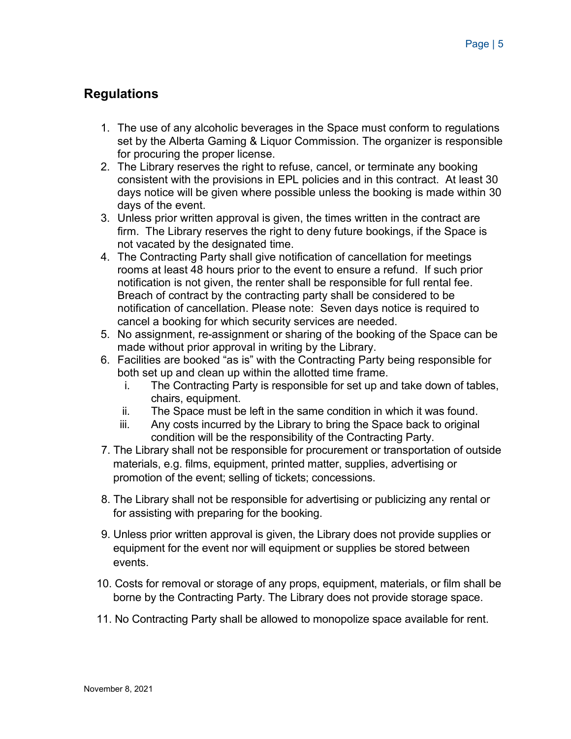### **Regulations**

- 1. The use of any alcoholic beverages in the Space must conform to regulations set by the Alberta Gaming & Liquor Commission. The organizer is responsible for procuring the proper license.
- 2. The Library reserves the right to refuse, cancel, or terminate any booking consistent with the provisions in EPL policies and in this contract. At least 30 days notice will be given where possible unless the booking is made within 30 days of the event.
- 3. Unless prior written approval is given, the times written in the contract are firm. The Library reserves the right to deny future bookings, if the Space is not vacated by the designated time.
- 4. The Contracting Party shall give notification of cancellation for meetings rooms at least 48 hours prior to the event to ensure a refund. If such prior notification is not given, the renter shall be responsible for full rental fee. Breach of contract by the contracting party shall be considered to be notification of cancellation. Please note: Seven days notice is required to cancel a booking for which security services are needed.
- 5. No assignment, re-assignment or sharing of the booking of the Space can be made without prior approval in writing by the Library.
- 6. Facilities are booked "as is" with the Contracting Party being responsible for both set up and clean up within the allotted time frame.
	- i. The Contracting Party is responsible for set up and take down of tables, chairs, equipment.
	- ii. The Space must be left in the same condition in which it was found.
	- iii. Any costs incurred by the Library to bring the Space back to original condition will be the responsibility of the Contracting Party.
- 7. The Library shall not be responsible for procurement or transportation of outside materials, e.g. films, equipment, printed matter, supplies, advertising or promotion of the event; selling of tickets; concessions.
- 8. The Library shall not be responsible for advertising or publicizing any rental or for assisting with preparing for the booking.
- 9. Unless prior written approval is given, the Library does not provide supplies or equipment for the event nor will equipment or supplies be stored between events.
- 10. Costs for removal or storage of any props, equipment, materials, or film shall be borne by the Contracting Party. The Library does not provide storage space.
- 11. No Contracting Party shall be allowed to monopolize space available for rent.